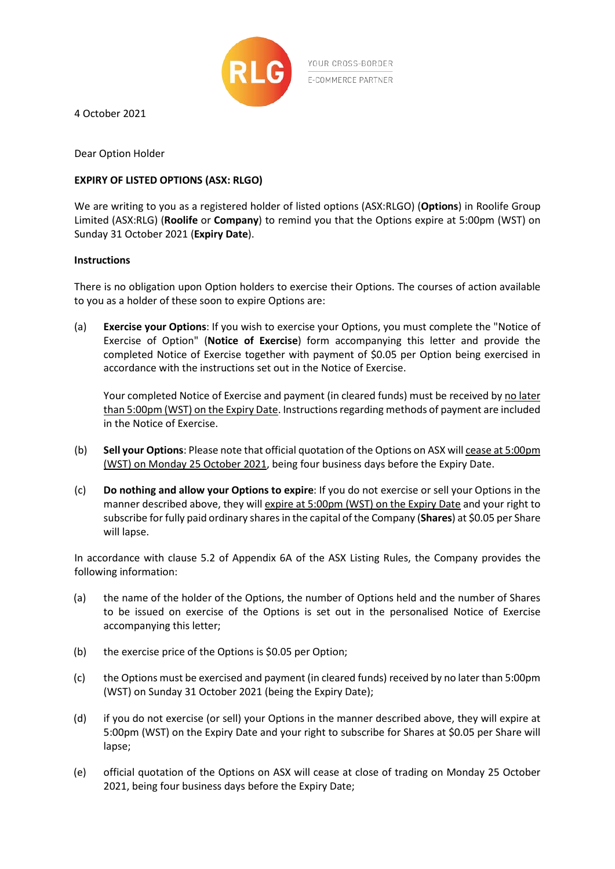

4 October 2021

Dear Option Holder

## **EXPIRY OF LISTED OPTIONS (ASX: RLGO)**

We are writing to you as a registered holder of listed options (ASX:RLGO) (**Options**) in Roolife Group Limited (ASX:RLG) (**Roolife** or **Company**) to remind you that the Options expire at 5:00pm (WST) on Sunday 31 October 2021 (**Expiry Date**).

## **Instructions**

There is no obligation upon Option holders to exercise their Options. The courses of action available to you as a holder of these soon to expire Options are:

(a) **Exercise your Options**: If you wish to exercise your Options, you must complete the "Notice of Exercise of Option" (**Notice of Exercise**) form accompanying this letter and provide the completed Notice of Exercise together with payment of \$0.05 per Option being exercised in accordance with the instructions set out in the Notice of Exercise.

Your completed Notice of Exercise and payment (in cleared funds) must be received by no later than 5:00pm (WST) on the Expiry Date. Instructions regarding methods of payment are included in the Notice of Exercise.

- (b) **Sell your Options**: Please note that official quotation of the Options on ASX will cease at 5:00pm (WST) on Monday 25 October 2021, being four business days before the Expiry Date.
- (c) **Do nothing and allow your Options to expire**: If you do not exercise or sell your Options in the manner described above, they will expire at 5:00pm (WST) on the Expiry Date and your right to subscribe for fully paid ordinary shares in the capital of the Company (**Shares**) at \$0.05 per Share will lapse.

In accordance with clause 5.2 of Appendix 6A of the ASX Listing Rules, the Company provides the following information:

- (a) the name of the holder of the Options, the number of Options held and the number of Shares to be issued on exercise of the Options is set out in the personalised Notice of Exercise accompanying this letter;
- (b) the exercise price of the Options is \$0.05 per Option;
- (c) the Options must be exercised and payment (in cleared funds) received by no later than 5:00pm (WST) on Sunday 31 October 2021 (being the Expiry Date);
- (d) if you do not exercise (or sell) your Options in the manner described above, they will expire at 5:00pm (WST) on the Expiry Date and your right to subscribe for Shares at \$0.05 per Share will lapse;
- (e) official quotation of the Options on ASX will cease at close of trading on Monday 25 October 2021, being four business days before the Expiry Date;